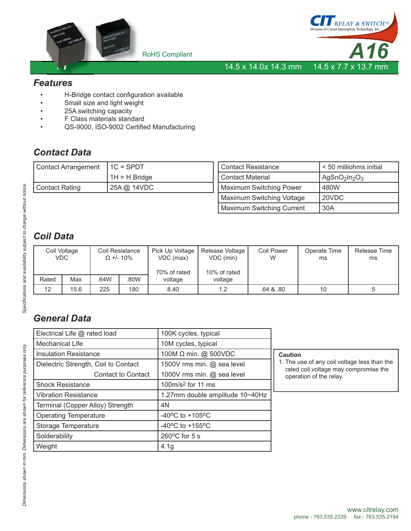



14.5 x 14.0x 14.3 mm 14.5 x 7.7 x 13.7 mm

### *Features*

- H-Bridge contact configuration available
- Small size and light weight
- 25A switching capacity
- F Class materials standard
- QS-9000, ISO-9002 Certified Manufacturing

# *Contact Data*

| Contact Arrangement | $1C = SPDT$    |
|---------------------|----------------|
|                     | $H = H$ Bridge |
| Contact Rating      | 25A @ 14VDC    |

| <b>Contact Resistance</b>      | < 50 milliohms initial       |  |  |
|--------------------------------|------------------------------|--|--|
| <b>Contact Material</b>        | AgSnO <sub>2</sub> $ln_2O_3$ |  |  |
| <b>Maximum Switching Power</b> | 480W                         |  |  |
| Maximum Switching Voltage      | 20VDC                        |  |  |
| Maximum Switching Current      | 30A                          |  |  |

# *Coil Data*

| Coil Voltage<br><b>VDC</b> |      | Coil Resistance<br>$\Omega$ +/- 10% |      | Pick Up Voltage<br>VDC (max)<br>70% of rated | Release Voltage<br>VDC (min)<br>10% of rated | <b>Coil Power</b><br>W | Operate Time<br>ms | Release Time<br>ms |
|----------------------------|------|-------------------------------------|------|----------------------------------------------|----------------------------------------------|------------------------|--------------------|--------------------|
| Rated                      | Max  | .64W                                | .80W | voltage                                      | voltage                                      |                        |                    |                    |
| 12                         | 15.6 | 225                                 | 180  | 8.40                                         | 1.2                                          | .64 & .80              | 10                 |                    |

# *General Data*

| Electrical Life @ rated load         | 100K cycles, typical                  |                                                                                       |
|--------------------------------------|---------------------------------------|---------------------------------------------------------------------------------------|
| <b>Mechanical Life</b>               | 10M cycles, typical                   |                                                                                       |
| <b>Insulation Resistance</b>         | 100M Ω min. @ 500VDC                  | <b>Caution</b>                                                                        |
| Dielectric Strength, Coil to Contact | 1500V rms min. @ sea level            | 1. The use of any coil voltage less than the<br>rated coil voltage may compromise the |
| <b>Contact to Contact</b>            | 1000V rms min. @ sea level            | operation of the relay.                                                               |
| <b>Shock Resistance</b>              | 100m/s <sup>2</sup> for 11 ms         |                                                                                       |
| <b>Vibration Resistance</b>          | 1.27mm double amplitude 10~40Hz       |                                                                                       |
| Terminal (Copper Alloy) Strength     | 4N                                    |                                                                                       |
| <b>Operating Temperature</b>         | $-40^{\circ}$ C to $+105^{\circ}$ C   |                                                                                       |
| <b>Storage Temperature</b>           | -40 $^{\circ}$ C to +155 $^{\circ}$ C |                                                                                       |
| Solderability                        | $260^{\circ}$ C for 5 s               |                                                                                       |
| Weight                               | 4.1 <sub>g</sub>                      |                                                                                       |